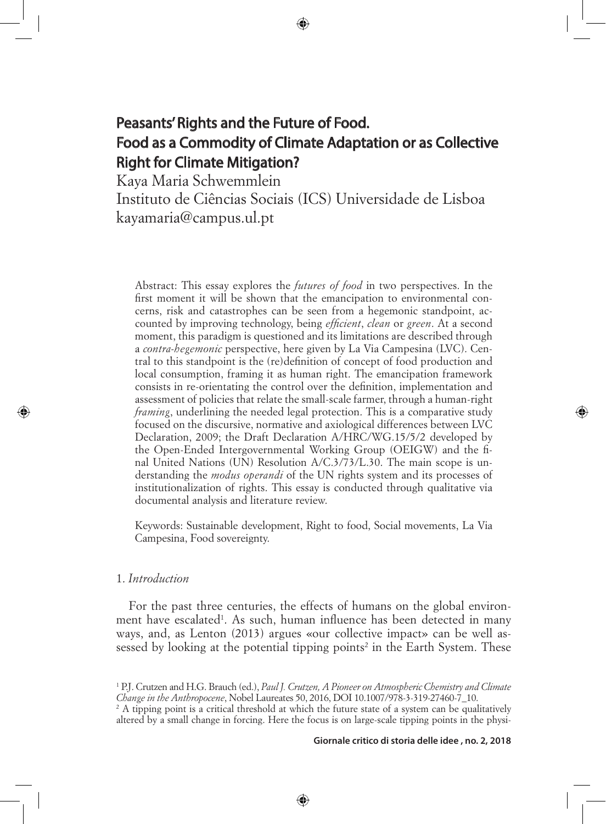# Peasants' Rights and the Future of Food. Food as a Commodity of Climate Adaptation or as Collective Right for Climate Mitigation?

⊕

Kaya Maria Schwemmlein

Instituto de Ciências Sociais (ICS) Universidade de Lisboa kayamaria@campus.ul.pt

Abstract: This essay explores the *futures of food* in two perspectives. In the first moment it will be shown that the emancipation to environmental concerns, risk and catastrophes can be seen from a hegemonic standpoint, accounted by improving technology, being *efficient*, *clean* or *green*. At a second moment, this paradigm is questioned and its limitations are described through a *contra-hegemonic* perspective, here given by La Via Campesina (LVC). Central to this standpoint is the (re)definition of concept of food production and local consumption, framing it as human right. The emancipation framework consists in re-orientating the control over the definition, implementation and assessment of policies that relate the small-scale farmer, through a human-right *framing*, underlining the needed legal protection. This is a comparative study focused on the discursive, normative and axiological differences between LVC Declaration, 2009; the Draft Declaration A/HRC/WG.15/5/2 developed by the Open-Ended Intergovernmental Working Group (OEIGW) and the final United Nations (UN) Resolution A/C.3/73/L.30. The main scope is understanding the *modus operandi* of the UN rights system and its processes of institutionalization of rights. This essay is conducted through qualitative via documental analysis and literature review.

Keywords: Sustainable development, Right to food, Social movements, La Via Campesina, Food sovereignty.

### 1. *Introduction*

⊕

For the past three centuries, the effects of humans on the global environment have escalated<sup>1</sup>. As such, human influence has been detected in many ways, and, as Lenton (2013) argues «our collective impact» can be well assessed by looking at the potential tipping points<sup>2</sup> in the Earth System. These

⊕

**Giornale critico di storia delle idee , no. 2, 2018**

<sup>&</sup>lt;sup>1</sup> P.J. Crutzen and H.G. Brauch (ed.), *Paul J. Crutzen, A Pioneer on Atmospheric Chemistry and Climate Change in the Anthropocene*, Nobel Laureates 50, 2016, DOI 10.1007/978-3-319-27460-7\_10.

<sup>&</sup>lt;sup>2</sup> A tipping point is a critical threshold at which the future state of a system can be qualitatively altered by a small change in forcing. Here the focus is on large-scale tipping points in the physi-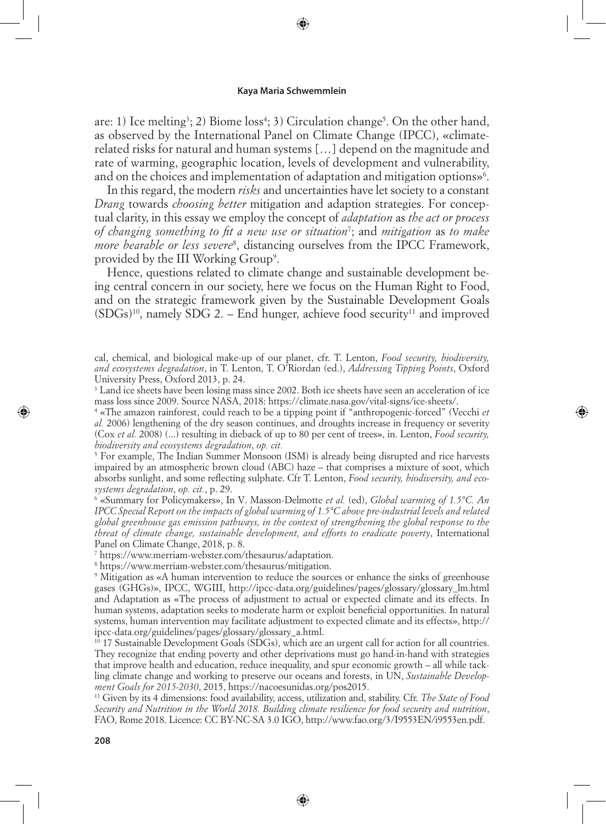⊕

are: 1) Ice melting<sup>3</sup>; 2) Biome loss<sup>4</sup>; 3) Circulation change<sup>5</sup>. On the other hand, as observed by the International Panel on Climate Change (IPCC), «climaterelated risks for natural and human systems […] depend on the magnitude and rate of warming, geographic location, levels of development and vulnerability, and on the choices and implementation of adaptation and mitigation options»<sup>6</sup>.

In this regard, the modern *risks* and uncertainties have let society to a constant *Drang* towards *choosing better* mitigation and adaption strategies. For conceptual clarity, in this essay we employ the concept of *adaptation* as *the act or process of changing something to fit a new use or situation*<sup>7</sup> ; and *mitigation* as *to make more bearable or less severe*<sup>8</sup> , distancing ourselves from the IPCC Framework, provided by the III Working Group<sup>9</sup>.

Hence, questions related to climate change and sustainable development being central concern in our society, here we focus on the Human Right to Food, and on the strategic framework given by the Sustainable Development Goals  $(SDGs)^{10}$ , namely SDG 2. – End hunger, achieve food security<sup>11</sup> and improved

cal, chemical, and biological make-up of our planet, cfr. T. Lenton, *Food security, biodiversity, and ecosystems degradation*, in T. Lenton, T. O'Riordan (ed.), *Addressing Tipping Points*, Oxford University Press, Oxford 2013, p. 24.

<sup>3</sup> Land ice sheets have been losing mass since 2002. Both ice sheets have seen an acceleration of ice mass loss since 2009. Source NASA, 2018: https://climate.nasa.gov/vital-signs/ice-sheets/.

4 «The amazon rainforest, could reach to be a tipping point if "anthropogenic-forced" (Vecchi *et al.* 2006) lengthening of the dry season continues, and droughts increase in frequency or severity (Cox *et al.* 2008) (...) resulting in dieback of up to 80 per cent of trees», in. Lenton, *Food security, biodiversity and ecosystems degradation*, *op. cit.*

5 For example, The Indian Summer Monsoon (ISM) is already being disrupted and rice harvests impaired by an atmospheric brown cloud (ABC) haze – that comprises a mixture of soot, which absorbs sunlight, and some reflecting sulphate. Cfr T. Lenton, *Food security, biodiversity, and ecosystems degradation*, *op. cit.*, p. 29.

<sup>6</sup> «Summary for Policymakers», In V. Masson-Delmotte *et al.* (ed), *Global warming of 1.5°C. An IPCC Special Report on the impacts of global warming of 1.5°C above pre-industrial levels and related global greenhouse gas emission pathways, in the context of strengthening the global response to the threat of climate change, sustainable development, and efforts to eradicate poverty*, International Panel on Climate Change, 2018, p. 8.

7 https://www.merriam-webster.com/thesaurus/adaptation.

8 https://www.merriam-webster.com/thesaurus/mitigation.

9 Mitigation as «A human intervention to reduce the sources or enhance the sinks of greenhouse gases (GHGs)», IPCC, WGIII, http://ipcc-data.org/guidelines/pages/glossary/glossary\_lm.html and Adaptation as «The process of adjustment to actual or expected climate and its effects. In human systems, adaptation seeks to moderate harm or exploit beneficial opportunities. In natural systems, human intervention may facilitate adjustment to expected climate and its effects», http:// ipcc-data.org/guidelines/pages/glossary/glossary\_a.html.

 $10$  17 Sustainable Development Goals (SDGs), which are an urgent call for action for all countries. They recognize that ending poverty and other deprivations must go hand-in-hand with strategies that improve health and education, reduce inequality, and spur economic growth – all while tackling climate change and working to preserve our oceans and forests, in UN, *Sustainable Development Goals for 2015-2030*, 2015, https://nacoesunidas.org/pos2015.

11 Given by its 4 dimensions: food availability, access, utilization and, stability. Cfr. *The State of Food Security and Nutrition in the World 2018. Building climate resilience for food security and nutrition*, FAO, Rome 2018. Licence: CC BY-NC-SA 3.0 IGO, http://www.fao.org/3/I9553EN/i9553en.pdf.

⊕

↔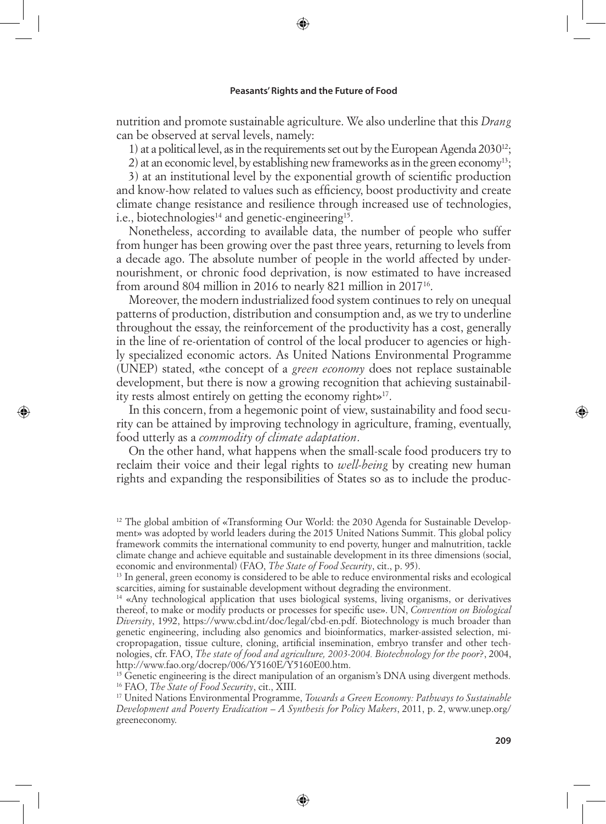⊕

nutrition and promote sustainable agriculture. We also underline that this *Drang* can be observed at serval levels, namely:

1) at a political level, as in the requirements set out by the European Agenda  $2030^{12}$ ;

2) at an economic level, by establishing new frameworks as in the green economy<sup>13</sup>;

3) at an institutional level by the exponential growth of scientific production and know-how related to values such as efficiency, boost productivity and create climate change resistance and resilience through increased use of technologies, i.e., biotechnologies<sup>14</sup> and genetic-engineering<sup>15</sup>.

Nonetheless, according to available data, the number of people who suffer from hunger has been growing over the past three years, returning to levels from a decade ago. The absolute number of people in the world affected by undernourishment, or chronic food deprivation, is now estimated to have increased from around 804 million in 2016 to nearly 821 million in 201716.

Moreover, the modern industrialized food system continues to rely on unequal patterns of production, distribution and consumption and, as we try to underline throughout the essay, the reinforcement of the productivity has a cost, generally in the line of re-orientation of control of the local producer to agencies or highly specialized economic actors. As United Nations Environmental Programme (UNEP) stated, «the concept of a *green economy* does not replace sustainable development, but there is now a growing recognition that achieving sustainability rests almost entirely on getting the economy right»17.

In this concern, from a hegemonic point of view, sustainability and food security can be attained by improving technology in agriculture, framing, eventually, food utterly as a *commodity of climate adaptation*.

⊕

On the other hand, what happens when the small-scale food producers try to reclaim their voice and their legal rights to *well-being* by creating new human rights and expanding the responsibilities of States so as to include the produc-

⊕

 $12$  The global ambition of «Transforming Our World: the 2030 Agenda for Sustainable Development» was adopted by world leaders during the 2015 United Nations Summit. This global policy framework commits the international community to end poverty, hunger and malnutrition, tackle climate change and achieve equitable and sustainable development in its three dimensions (social, economic and environmental) (FAO, *The State of Food Security*, cit., p. 95).

<sup>&</sup>lt;sup>13</sup> In general, green economy is considered to be able to reduce environmental risks and ecological scarcities, aiming for sustainable development without degrading the environment.

<sup>&</sup>lt;sup>14</sup> «Anv technological application that uses biological systems, living organisms, or derivatives thereof, to make or modify products or processes for specific use». UN, *Convention on Biological Diversity*, 1992, https://www.cbd.int/doc/legal/cbd-en.pdf. Biotechnology is much broader than genetic engineering, including also genomics and bioinformatics, marker-assisted selection, micropropagation, tissue culture, cloning, artificial insemination, embryo transfer and other technologies, cfr. FAO, *The state of food and agriculture, 2003-2004. Biotechnology for the poor*?, 2004, http://www.fao.org/docrep/006/Y5160E/Y5160E00.htm.

<sup>&</sup>lt;sup>15</sup> Genetic engineering is the direct manipulation of an organism's DNA using divergent methods. 16 FAO, *The State of Food Security*, cit., XIII.

<sup>17</sup> United Nations Environmental Programme, *Towards a Green Economy: Pathways to Sustainable Development and Poverty Eradication – A Synthesis for Policy Makers*, 2011, p. 2, www.unep.org/ greeneconomy.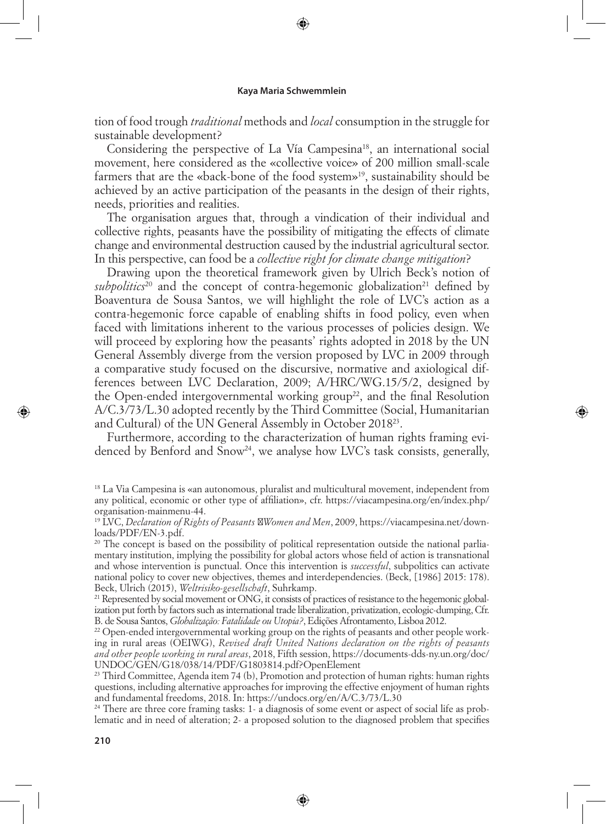⊕

tion of food trough *traditional* methods and *local* consumption in the struggle for sustainable development?

Considering the perspective of La Vía Campesina<sup>18</sup>, an international social movement, here considered as the «collective voice» of 200 million small-scale farmers that are the «back-bone of the food system»<sup>19</sup>, sustainability should be achieved by an active participation of the peasants in the design of their rights, needs, priorities and realities.

The organisation argues that, through a vindication of their individual and collective rights, peasants have the possibility of mitigating the effects of climate change and environmental destruction caused by the industrial agricultural sector. In this perspective, can food be a *collective right for climate change mitigation*?

Drawing upon the theoretical framework given by Ulrich Beck's notion of  $subpolitics<sup>20</sup>$  and the concept of contra-hegemonic globalization<sup>21</sup> defined by Boaventura de Sousa Santos, we will highlight the role of LVC's action as a contra-hegemonic force capable of enabling shifts in food policy, even when faced with limitations inherent to the various processes of policies design. We will proceed by exploring how the peasants' rights adopted in 2018 by the UN General Assembly diverge from the version proposed by LVC in 2009 through a comparative study focused on the discursive, normative and axiological differences between LVC Declaration, 2009; A/HRC/WG.15/5/2, designed by the Open-ended intergovernmental working group<sup>22</sup>, and the final Resolution A/C.3/73/L.30 adopted recently by the Third Committee (Social, Humanitarian and Cultural) of the UN General Assembly in October 201823.

Furthermore, according to the characterization of human rights framing evidenced by Benford and Snow<sup>24</sup>, we analyse how LVC's task consists, generally,

24 There are three core framing tasks: 1- a diagnosis of some event or aspect of social life as problematic and in need of alteration; 2- a proposed solution to the diagnosed problem that specifies

⊕

↔

<sup>18</sup> La Via Campesina is «an autonomous, pluralist and multicultural movement, independent from any political, economic or other type of affiliation», cfr. https://viacampesina.org/en/index.php/ organisation-mainmenu-44.

<sup>19</sup> LVC, *Declaration of Rights of Peasants Women and Men*, 2009, https://viacampesina.net/downloads/PDF/EN-3.pdf.

<sup>&</sup>lt;sup>20</sup> The concept is based on the possibility of political representation outside the national parliamentary institution, implying the possibility for global actors whose field of action is transnational and whose intervention is punctual. Once this intervention is *successful*, subpolitics can activate national policy to cover new objectives, themes and interdependencies. (Beck, [1986] 2015: 178). Beck, Ulrich (2015), *Weltrisiko-gesellschaft*, Suhrkamp.

<sup>&</sup>lt;sup>21</sup> Represented by social movement or ONG, it consists of practices of resistance to the hegemonic globalization put forth by factors such as international trade liberalization, privatization, ecologic-dumping, Cfr. B. de Sousa Santos, *Globalização: Fatalidade ou Utopia?*, Edições Afrontamento, Lisboa 2012.

<sup>&</sup>lt;sup>22</sup> Open-ended intergovernmental working group on the rights of peasants and other people working in rural areas (OEIWG), *Revised draft United Nations declaration on the rights of peasants and other people working in rural areas*, 2018, Fifth session, https://documents-dds-ny.un.org/doc/ UNDOC/GEN/G18/038/14/PDF/G1803814.pdf?OpenElement

 $^{23}$  Third Committee, Agenda item 74 (b), Promotion and protection of human rights: human rights questions, including alternative approaches for improving the effective enjoyment of human rights and fundamental freedoms, 2018. In: https://undocs.org/en/A/C.3/73/L.30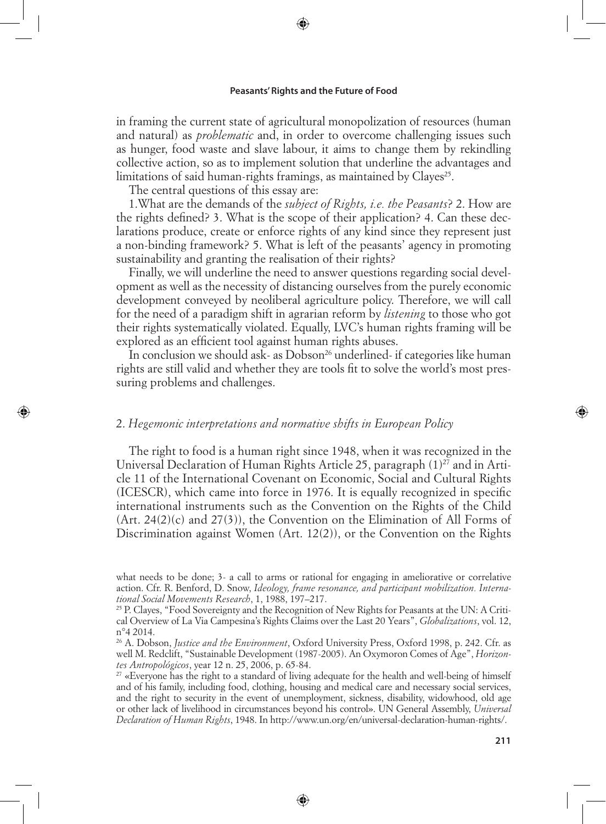⊕

in framing the current state of agricultural monopolization of resources (human and natural) as *problematic* and, in order to overcome challenging issues such as hunger, food waste and slave labour, it aims to change them by rekindling collective action, so as to implement solution that underline the advantages and limitations of said human-rights framings, as maintained by Clayes<sup>25</sup>.

The central questions of this essay are:

⊕

1.What are the demands of the *subject of Rights, i.e. the Peasants*? 2. How are the rights defined? 3. What is the scope of their application? 4. Can these declarations produce, create or enforce rights of any kind since they represent just a non-binding framework? 5. What is left of the peasants' agency in promoting sustainability and granting the realisation of their rights?

Finally, we will underline the need to answer questions regarding social development as well as the necessity of distancing ourselves from the purely economic development conveyed by neoliberal agriculture policy. Therefore, we will call for the need of a paradigm shift in agrarian reform by *listening* to those who got their rights systematically violated. Equally, LVC's human rights framing will be explored as an efficient tool against human rights abuses.

In conclusion we should ask- as Dobson<sup>26</sup> underlined- if categories like human rights are still valid and whether they are tools fit to solve the world's most pressuring problems and challenges.

### 2. *Hegemonic interpretations and normative shifts in European Policy*

The right to food is a human right since 1948, when it was recognized in the Universal Declaration of Human Rights Article 25, paragraph  $(1)^{27}$  and in Article 11 of the International Covenant on Economic, Social and Cultural Rights (ICESCR), which came into force in 1976. It is equally recognized in specific international instruments such as the Convention on the Rights of the Child (Art. 24(2)(c) and 27(3)), the Convention on the Elimination of All Forms of Discrimination against Women  $(Art. 12(2))$ , or the Convention on the Rights

⊕

what needs to be done; 3- a call to arms or rational for engaging in ameliorative or correlative action. Cfr. R. Benford, D. Snow, *Ideology, frame resonance, and participant mobilization. International Social Movements Research*, 1, 1988, 197–217.

<sup>25</sup> P. Clayes, "Food Sovereignty and the Recognition of New Rights for Peasants at the UN: A Critical Overview of La Via Campesina's Rights Claims over the Last 20 Years", *Globalizations*, vol. 12, n°4 2014.

<sup>26</sup> A. Dobson, *Justice and the Environment*, Oxford University Press, Oxford 1998, p. 242. Cfr. as well M. Redclift, "Sustainable Development (1987-2005). An Oxymoron Comes of Age", *Horizontes Antropológicos*, year 12 n. 25, 2006, p. 65-84.

<sup>&</sup>lt;sup>27</sup> «Everyone has the right to a standard of living adequate for the health and well-being of himself and of his family, including food, clothing, housing and medical care and necessary social services, and the right to security in the event of unemployment, sickness, disability, widowhood, old age or other lack of livelihood in circumstances beyond his control». UN General Assembly, *Universal Declaration of Human Rights*, 1948. In http://www.un.org/en/universal-declaration-human-rights/.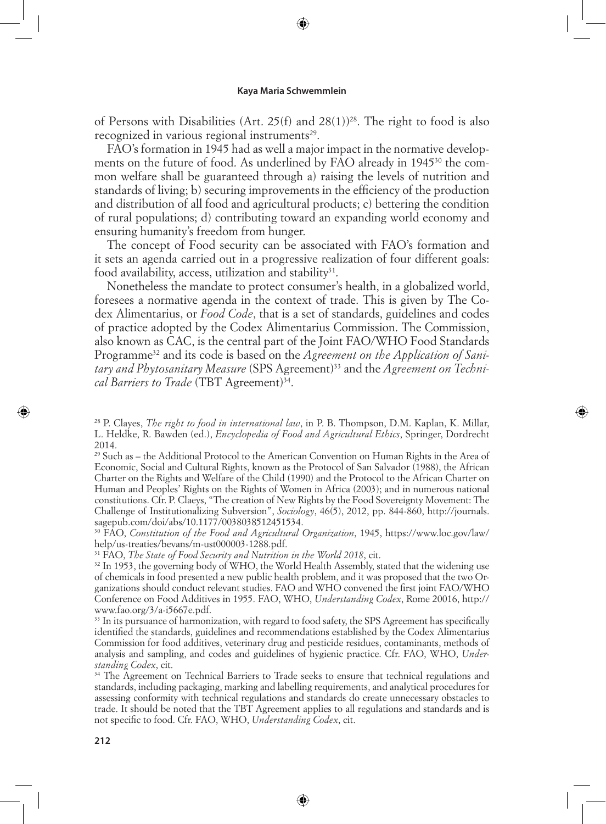⊕

of Persons with Disabilities (Art. 25(f) and 28(1))28. The right to food is also recognized in various regional instruments<sup>29</sup>.

FAO's formation in 1945 had as well a major impact in the normative developments on the future of food. As underlined by FAO already in 1945<sup>30</sup> the common welfare shall be guaranteed through a) raising the levels of nutrition and standards of living; b) securing improvements in the efficiency of the production and distribution of all food and agricultural products; c) bettering the condition of rural populations; d) contributing toward an expanding world economy and ensuring humanity's freedom from hunger.

The concept of Food security can be associated with FAO's formation and it sets an agenda carried out in a progressive realization of four different goals: food availability, access, utilization and stability $31$ .

Nonetheless the mandate to protect consumer's health, in a globalized world, foresees a normative agenda in the context of trade. This is given by The Codex Alimentarius, or *Food Code*, that is a set of standards, guidelines and codes of practice adopted by the Codex Alimentarius Commission. The Commission, also known as CAC, is the central part of the Joint FAO/WHO Food Standards Programme32 and its code is based on the *Agreement on the Application of Sanitary and Phytosanitary Measure* (SPS Agreement)33 and the *Agreement on Technical Barriers to Trade* (TBT Agreement)<sup>34</sup>.

↔

 $29$  Such as – the Additional Protocol to the American Convention on Human Rights in the Area of Economic, Social and Cultural Rights, known as the Protocol of San Salvador (1988), the African Charter on the Rights and Welfare of the Child (1990) and the Protocol to the African Charter on Human and Peoples' Rights on the Rights of Women in Africa (2003); and in numerous national constitutions. Cfr. P. Claeys, "The creation of New Rights by the Food Sovereignty Movement: The Challenge of Institutionalizing Subversion", *Sociology*, 46(5), 2012, pp. 844-860, http://journals. sagepub.com/doi/abs/10.1177/0038038512451534.

30 FAO, *Constitution of the Food and Agricultural Organization*, 1945, https://www.loc.gov/law/ help/us-treaties/bevans/m-ust000003-1288.pdf.

31 FAO, *The State of Food Security and Nutrition in the World 2018*, cit.

 $32$  In 1953, the governing body of WHO, the World Health Assembly, stated that the widening use of chemicals in food presented a new public health problem, and it was proposed that the two Organizations should conduct relevant studies. FAO and WHO convened the first joint FAO/WHO Conference on Food Additives in 1955. FAO, WHO, *Understanding Codex*, Rome 20016, http:// www.fao.org/3/a-i5667e.pdf.

<sup>33</sup> In its pursuance of harmonization, with regard to food safety, the SPS Agreement has specifically identified the standards, guidelines and recommendations established by the Codex Alimentarius Commission for food additives, veterinary drug and pesticide residues, contaminants, methods of analysis and sampling, and codes and guidelines of hygienic practice. Cfr. FAO, WHO, *Understanding Codex*, cit.

<sup>34</sup> The Agreement on Technical Barriers to Trade seeks to ensure that technical regulations and standards, including packaging, marking and labelling requirements, and analytical procedures for assessing conformity with technical regulations and standards do create unnecessary obstacles to trade. It should be noted that the TBT Agreement applies to all regulations and standards and is not specific to food. Cfr. FAO, WHO, *Understanding Codex*, cit.

⊕

<sup>28</sup> P. Clayes, *The right to food in international law*, in P. B. Thompson, D.M. Kaplan, K. Millar, L. Heldke, R. Bawden (ed.), *Encyclopedia of Food and Agricultural Ethics*, Springer, Dordrecht 2014.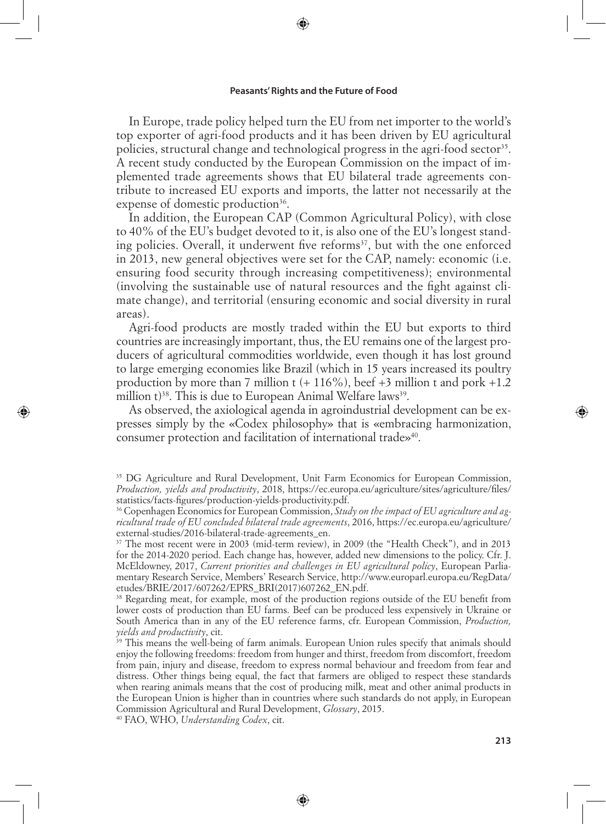⊕

In Europe, trade policy helped turn the EU from net importer to the world's top exporter of agri-food products and it has been driven by EU agricultural policies, structural change and technological progress in the agri-food sector<sup>35</sup>. A recent study conducted by the European Commission on the impact of implemented trade agreements shows that EU bilateral trade agreements contribute to increased EU exports and imports, the latter not necessarily at the expense of domestic production<sup>36</sup>.

In addition, the European CAP (Common Agricultural Policy), with close to 40% of the EU's budget devoted to it, is also one of the EU's longest standing policies. Overall, it underwent five reforms<sup>37</sup>, but with the one enforced in 2013, new general objectives were set for the CAP, namely: economic (i.e. ensuring food security through increasing competitiveness); environmental (involving the sustainable use of natural resources and the fight against climate change), and territorial (ensuring economic and social diversity in rural areas).

Agri-food products are mostly traded within the EU but exports to third countries are increasingly important, thus, the EU remains one of the largest producers of agricultural commodities worldwide, even though it has lost ground to large emerging economies like Brazil (which in 15 years increased its poultry production by more than 7 million t  $(+ 116\%)$ , beef  $+3$  million t and pork  $+1.2$ million  $t^{38}$ . This is due to European Animal Welfare laws<sup>39</sup>.

As observed, the axiological agenda in agroindustrial development can be expresses simply by the «Codex philosophy» that is «embracing harmonization, consumer protection and facilitation of international trade»40.

<sup>38</sup> Regarding meat, for example, most of the production regions outside of the EU benefit from lower costs of production than EU farms. Beef can be produced less expensively in Ukraine or South America than in any of the EU reference farms, cfr. European Commission, *Production, yields and productivity*, cit.

<sup>39</sup> This means the well-being of farm animals. European Union rules specify that animals should enjoy the following freedoms: freedom from hunger and thirst, freedom from discomfort, freedom from pain, injury and disease, freedom to express normal behaviour and freedom from fear and distress. Other things being equal, the fact that farmers are obliged to respect these standards when rearing animals means that the cost of producing milk, meat and other animal products in the European Union is higher than in countries where such standards do not apply, in European Commission Agricultural and Rural Development, *Glossary*, 2015.

⊕

40 FAO, WHO, *Understanding Codex*, cit.

⊕

<sup>&</sup>lt;sup>35</sup> DG Agriculture and Rural Development, Unit Farm Economics for European Commission, *Production, yields and productivity*, 2018, https://ec.europa.eu/agriculture/sites/agriculture/files/ statistics/facts-figures/production-yields-productivity.pdf.

<sup>36</sup> Copenhagen Economics for European Commission, *Study on the impact of EU agriculture and agricultural trade of EU concluded bilateral trade agreements*, 2016, https://ec.europa.eu/agriculture/ external-studies/2016-bilateral-trade-agreements\_en.

<sup>37</sup> The most recent were in 2003 (mid-term review), in 2009 (the "Health Check"), and in 2013 for the 2014-2020 period. Each change has, however, added new dimensions to the policy. Cfr. J. McEldowney, 2017, *Current priorities and challenges in EU agricultural policy*, European Parliamentary Research Service, Members' Research Service, http://www.europarl.europa.eu/RegData/ etudes/BRIE/2017/607262/EPRS\_BRI(2017)607262\_EN.pdf.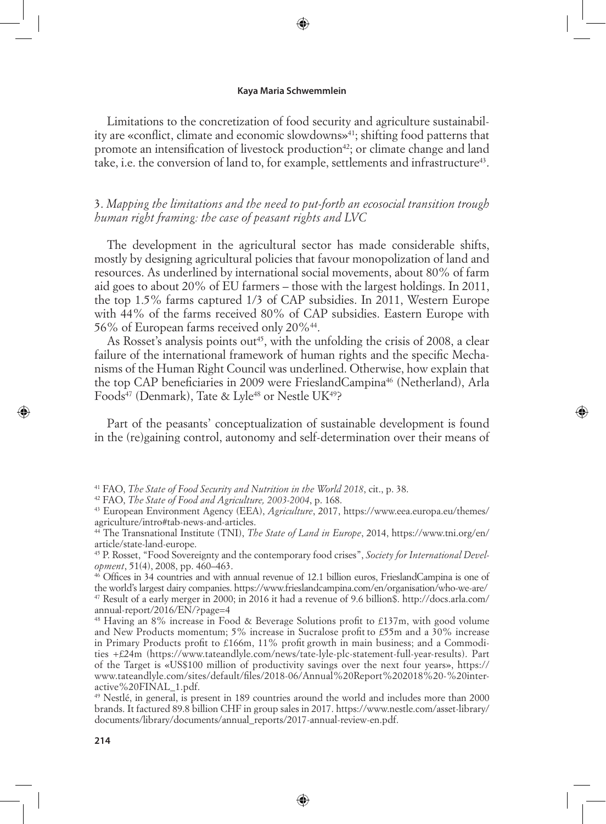⊕

Limitations to the concretization of food security and agriculture sustainability are «conflict, climate and economic slowdowns»<sup>41</sup>; shifting food patterns that promote an intensification of livestock production<sup>42</sup>; or climate change and land take, i.e. the conversion of land to, for example, settlements and infrastructure<sup>43</sup>.

3. *Mapping the limitations and the need to put-forth an ecosocial transition trough human right framing: the case of peasant rights and LVC* 

The development in the agricultural sector has made considerable shifts, mostly by designing agricultural policies that favour monopolization of land and resources. As underlined by international social movements, about 80% of farm aid goes to about 20% of EU farmers – those with the largest holdings. In 2011, the top 1.5% farms captured 1/3 of CAP subsidies. In 2011, Western Europe with 44% of the farms received 80% of CAP subsidies. Eastern Europe with 56% of European farms received only 20%44.

As Rosset's analysis points out<sup>45</sup>, with the unfolding the crisis of 2008, a clear failure of the international framework of human rights and the specific Mechanisms of the Human Right Council was underlined. Otherwise, how explain that the top CAP beneficiaries in 2009 were FrieslandCampina<sup>46</sup> (Netherland), Arla Foods<sup>47</sup> (Denmark), Tate & Lyle<sup>48</sup> or Nestle UK<sup>49</sup>?

Part of the peasants' conceptualization of sustainable development is found in the (re)gaining control, autonomy and self-determination over their means of ⇔

46 Offices in 34 countries and with annual revenue of 12.1 billion euros, FrieslandCampina is one of the world's largest dairy companies. https://www.frieslandcampina.com/en/organisation/who-we-are/ 47 Result of a early merger in 2000; in 2016 it had a revenue of 9.6 billion\$. http://docs.arla.com/ annual-report/2016/EN/?page=4

48 Having an 8% increase in Food & Beverage Solutions profit to £137m, with good volume and New Products momentum; 5% increase in Sucralose profit to £55m and a 30% increase in Primary Products profit to £166m, 11% profit growth in main business; and a Commodities +£24m (https://www.tateandlyle.com/news/tate-lyle-plc-statement-full-year-results). Part of the Target is «US\$100 million of productivity savings over the next four years», https:// www.tateandlyle.com/sites/default/files/2018-06/Annual%20Report%202018%20-%20interactive%20FINAL\_1.pdf.

49 Nestlé, in general, is present in 189 countries around the world and includes more than 2000 brands. It factured 89.8 billion CHF in group sales in 2017. https://www.nestle.com/asset-library/ documents/library/documents/annual\_reports/2017-annual-review-en.pdf.

⊕

<sup>41</sup> FAO, *The State of Food Security and Nutrition in the World 2018*, cit., p. 38.

<sup>42</sup> FAO, *The State of Food and Agriculture, 2003-2004*, p. 168.

<sup>43</sup> European Environment Agency (EEA), *Agriculture*, 2017, https://www.eea.europa.eu/themes/ agriculture/intro#tab-news-and-articles.

<sup>44</sup> The Transnational Institute (TNI), *The State of Land in Europe*, 2014, https://www.tni.org/en/ article/state-land-europe.

<sup>45</sup> P. Rosset, "Food Sovereignty and the contemporary food crises", *Society for International Development*, 51(4), 2008, pp. 460–463.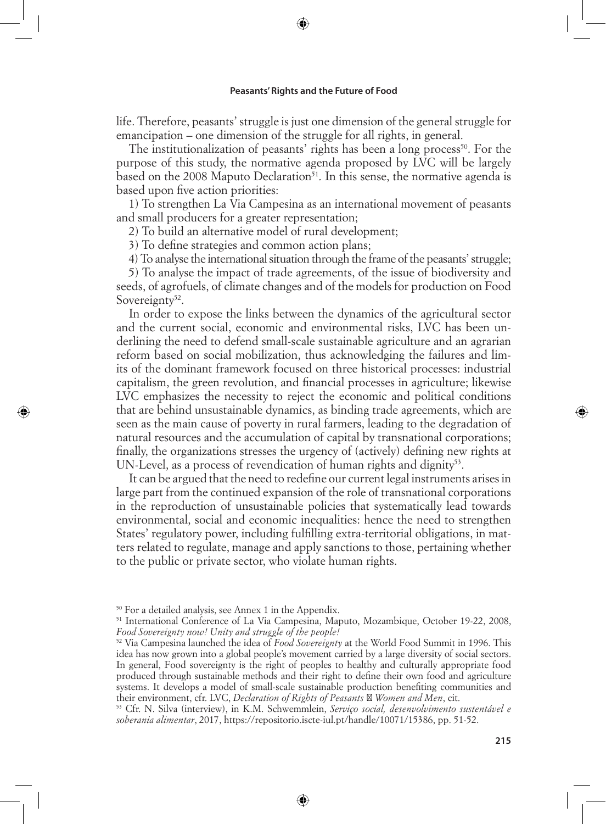⊕

life. Therefore, peasants' struggle is just one dimension of the general struggle for emancipation – one dimension of the struggle for all rights, in general.

The institutionalization of peasants' rights has been a long process<sup>50</sup>. For the purpose of this study, the normative agenda proposed by LVC will be largely based on the 2008 Maputo Declaration<sup>51</sup>. In this sense, the normative agenda is based upon five action priorities:

1) To strengthen La Via Campesina as an international movement of peasants and small producers for a greater representation;

2) To build an alternative model of rural development;

3) To define strategies and common action plans;

4) To analyse the international situation through the frame of the peasants' struggle;

5) To analyse the impact of trade agreements, of the issue of biodiversity and seeds, of agrofuels, of climate changes and of the models for production on Food Sovereignty<sup>52</sup>.

In order to expose the links between the dynamics of the agricultural sector and the current social, economic and environmental risks, LVC has been underlining the need to defend small-scale sustainable agriculture and an agrarian reform based on social mobilization, thus acknowledging the failures and limits of the dominant framework focused on three historical processes: industrial capitalism, the green revolution, and financial processes in agriculture; likewise LVC emphasizes the necessity to reject the economic and political conditions that are behind unsustainable dynamics, as binding trade agreements, which are seen as the main cause of poverty in rural farmers, leading to the degradation of natural resources and the accumulation of capital by transnational corporations; finally, the organizations stresses the urgency of (actively) defining new rights at UN-Level, as a process of revendication of human rights and dignity<sup>53</sup>.

It can be argued that the need to redefine our current legal instruments arises in large part from the continued expansion of the role of transnational corporations in the reproduction of unsustainable policies that systematically lead towards environmental, social and economic inequalities: hence the need to strengthen States' regulatory power, including fulfilling extra-territorial obligations, in matters related to regulate, manage and apply sanctions to those, pertaining whether to the public or private sector, who violate human rights.

⊕

<sup>50</sup> For a detailed analysis, see Annex 1 in the Appendix.

<sup>51</sup> International Conference of La Via Campesina, Maputo, Mozambique, October 19-22, 2008, *Food Sovereignty now! Unity and struggle of the people!*

<sup>52</sup> Via Campesina launched the idea of *Food Sovereignty* at the World Food Summit in 1996. This idea has now grown into a global people's movement carried by a large diversity of social sectors. In general, Food sovereignty is the right of peoples to healthy and culturally appropriate food produced through sustainable methods and their right to define their own food and agriculture systems. It develops a model of small-scale sustainable production benefiting communities and their environment, cfr. LVC, *Declaration of Rights of Peasants Women and Men*, cit.

<sup>53</sup> Cfr. N. Silva (interview), in K.M. Schwemmlein, *Serviço social, desenvolvimento sustentável e soberania alimentar*, 2017, https://repositorio.iscte-iul.pt/handle/10071/15386, pp. 51-52.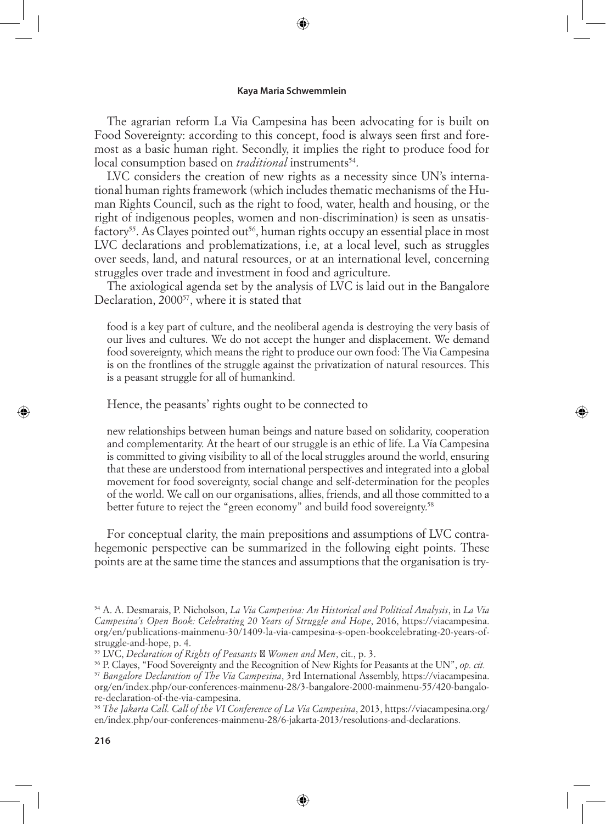⊕

The agrarian reform La Via Campesina has been advocating for is built on Food Sovereignty: according to this concept, food is always seen first and foremost as a basic human right. Secondly, it implies the right to produce food for local consumption based on *traditional* instruments<sup>54</sup>.

LVC considers the creation of new rights as a necessity since UN's international human rights framework (which includes thematic mechanisms of the Human Rights Council, such as the right to food, water, health and housing, or the right of indigenous peoples, women and non-discrimination) is seen as unsatis $factors<sup>55</sup>$ . As Clayes pointed out<sup>56</sup>, human rights occupy an essential place in most LVC declarations and problematizations, i.e, at a local level, such as struggles over seeds, land, and natural resources, or at an international level, concerning struggles over trade and investment in food and agriculture.

The axiological agenda set by the analysis of LVC is laid out in the Bangalore Declaration, 2000<sup>57</sup>, where it is stated that

food is a key part of culture, and the neoliberal agenda is destroying the very basis of our lives and cultures. We do not accept the hunger and displacement. We demand food sovereignty, which means the right to produce our own food: The Via Campesina is on the frontlines of the struggle against the privatization of natural resources. This is a peasant struggle for all of humankind.

Hence, the peasants' rights ought to be connected to

new relationships between human beings and nature based on solidarity, cooperation and complementarity. At the heart of our struggle is an ethic of life. La Vía Campesina is committed to giving visibility to all of the local struggles around the world, ensuring that these are understood from international perspectives and integrated into a global movement for food sovereignty, social change and self-determination for the peoples of the world. We call on our organisations, allies, friends, and all those committed to a better future to reject the "green economy" and build food sovereignty.<sup>58</sup>

For conceptual clarity, the main prepositions and assumptions of LVC contrahegemonic perspective can be summarized in the following eight points. These points are at the same time the stances and assumptions that the organisation is try-

<sup>58</sup> *The Jakarta Call. Call of the VI Conference of La Via Campesina*, 2013, https://viacampesina.org/ en/index.php/our-conferences-mainmenu-28/6-jakarta-2013/resolutions-and-declarations.

⊕

<sup>54</sup> A. A. Desmarais, P. Nicholson, *La Via Campesina: An Historical and Political Analysis*, in *La Via Campesina's Open Book: Celebrating 20 Years of Struggle and Hope*, 2016, https://viacampesina. org/en/publications-mainmenu-30/1409-la-via-campesina-s-open-bookcelebrating-20-years-ofstruggle-and-hope, p. 4.

<sup>55</sup> LVC, *Declaration of Rights of Peasants Women and Men*, cit., p. 3.

<sup>56</sup> P. Clayes, "Food Sovereignty and the Recognition of New Rights for Peasants at the UN", *op. cit.* <sup>57</sup> *Bangalore Declaration of The Via Campesina*, 3rd International Assembly, https://viacampesina. org/en/index.php/our-conferences-mainmenu-28/3-bangalore-2000-mainmenu-55/420-bangalore-declaration-of-the-via-campesina.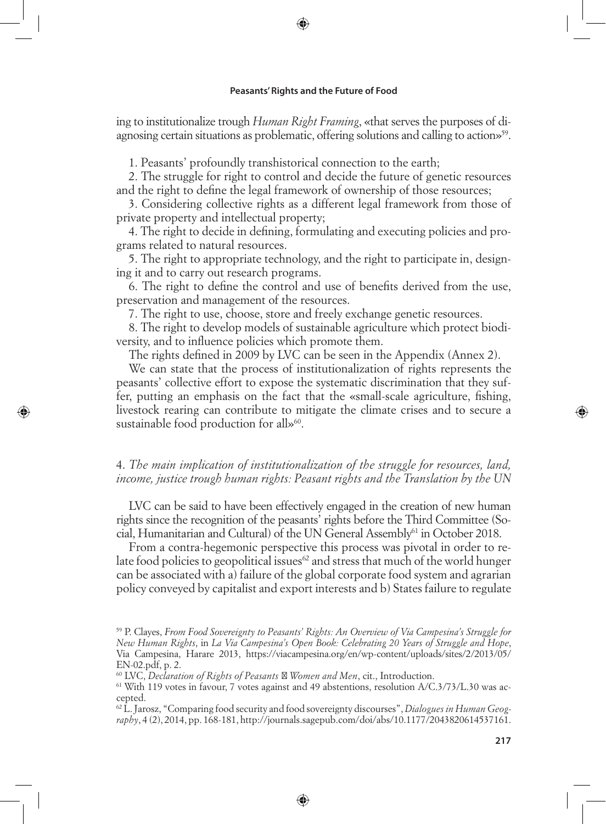⊕

ing to institutionalize trough *Human Right Framing*, «that serves the purposes of diagnosing certain situations as problematic, offering solutions and calling to action»59.

1. Peasants' profoundly transhistorical connection to the earth;

2. The struggle for right to control and decide the future of genetic resources and the right to define the legal framework of ownership of those resources;

3. Considering collective rights as a different legal framework from those of private property and intellectual property;

4. The right to decide in defining, formulating and executing policies and programs related to natural resources.

5. The right to appropriate technology, and the right to participate in, designing it and to carry out research programs.

6. The right to define the control and use of benefits derived from the use, preservation and management of the resources.

7. The right to use, choose, store and freely exchange genetic resources.

8. The right to develop models of sustainable agriculture which protect biodiversity, and to influence policies which promote them.

The rights defined in 2009 by LVC can be seen in the Appendix (Annex 2).

We can state that the process of institutionalization of rights represents the peasants' collective effort to expose the systematic discrimination that they suffer, putting an emphasis on the fact that the «small-scale agriculture, fishing, livestock rearing can contribute to mitigate the climate crises and to secure a sustainable food production for all»<sup>60</sup>.

⊕

## 4. *The main implication of institutionalization of the struggle for resources, land, income, justice trough human rights: Peasant rights and the Translation by the UN*

LVC can be said to have been effectively engaged in the creation of new human rights since the recognition of the peasants' rights before the Third Committee (Social, Humanitarian and Cultural) of the UN General Assembly61 in October 2018.

From a contra-hegemonic perspective this process was pivotal in order to relate food policies to geopolitical issues<sup>62</sup> and stress that much of the world hunger can be associated with a) failure of the global corporate food system and agrarian policy conveyed by capitalist and export interests and b) States failure to regulate

⊕

<sup>59</sup> P. Clayes, *From Food Sovereignty to Peasants' Rights: An Overview of Via Campesina's Struggle for New Human Rights*, in *La Via Campesina's Open Book: Celebrating 20 Years of Struggle and Hope*, Via Campesina, Harare 2013, https://viacampesina.org/en/wp-content/uploads/sites/2/2013/05/ EN-02.pdf, p. 2.

<sup>60</sup> LVC, *Declaration of Rights of Peasants Women and Men*, cit., Introduction.

 $61$  With 119 votes in favour, 7 votes against and 49 abstentions, resolution A/C.3/73/L.30 was accepted.

<sup>62</sup> L. Jarosz, "Comparing food security and food sovereignty discourses", *Dialogues in Human Geography*, 4 (2), 2014, pp. 168-181, http://journals.sagepub.com/doi/abs/10.1177/2043820614537161.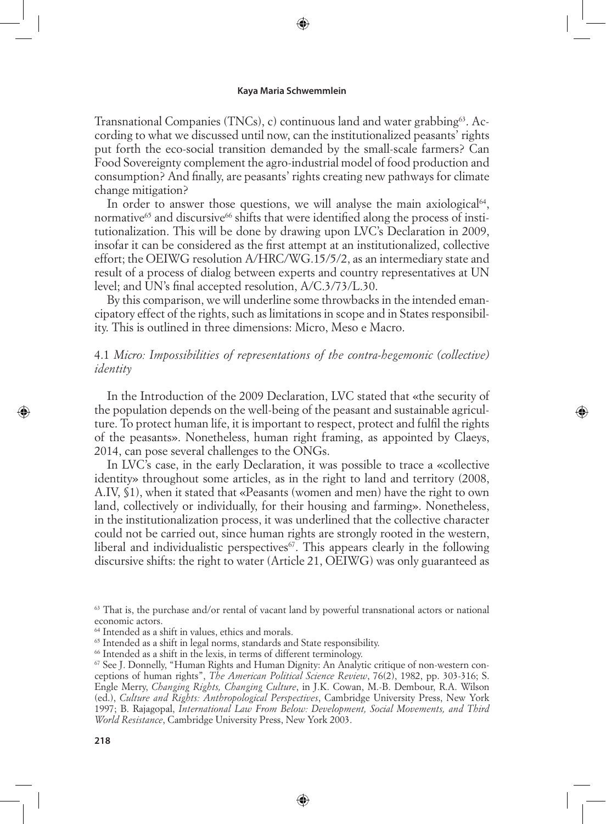⊕

Transnational Companies (TNCs), c) continuous land and water grabbing<sup>63</sup>. According to what we discussed until now, can the institutionalized peasants' rights put forth the eco-social transition demanded by the small-scale farmers? Can Food Sovereignty complement the agro-industrial model of food production and consumption? And finally, are peasants' rights creating new pathways for climate change mitigation?

In order to answer those questions, we will analyse the main axiological $64$ , normative $^{65}$  and discursive $^{66}$  shifts that were identified along the process of institutionalization. This will be done by drawing upon LVC's Declaration in 2009, insofar it can be considered as the first attempt at an institutionalized, collective effort; the OEIWG resolution A/HRC/WG.15/5/2, as an intermediary state and result of a process of dialog between experts and country representatives at UN level; and UN's final accepted resolution, A/C.3/73/L.30.

By this comparison, we will underline some throwbacks in the intended emancipatory effect of the rights, such as limitations in scope and in States responsibility. This is outlined in three dimensions: Micro, Meso e Macro.

## 4.1 *Micro: Impossibilities of representations of the contra-hegemonic (collective) identity*

In the Introduction of the 2009 Declaration, LVC stated that «the security of the population depends on the well-being of the peasant and sustainable agriculture. To protect human life, it is important to respect, protect and fulfil the rights of the peasants». Nonetheless, human right framing, as appointed by Claeys, 2014, can pose several challenges to the ONGs.

⇔

In LVC's case, in the early Declaration, it was possible to trace a «collective identity» throughout some articles, as in the right to land and territory (2008, A.IV, §1), when it stated that «Peasants (women and men) have the right to own land, collectively or individually, for their housing and farming». Nonetheless, in the institutionalization process, it was underlined that the collective character could not be carried out, since human rights are strongly rooted in the western, liberal and individualistic perspectives $67$ . This appears clearly in the following discursive shifts: the right to water (Article 21, OEIWG) was only guaranteed as

<sup>63</sup> That is, the purchase and/or rental of vacant land by powerful transnational actors or national economic actors.

⊕

<sup>64</sup> Intended as a shift in values, ethics and morals.

<sup>65</sup> Intended as a shift in legal norms, standards and State responsibility.

<sup>66</sup> Intended as a shift in the lexis, in terms of different terminology.

<sup>67</sup> See J. Donnelly, "Human Rights and Human Dignity: An Analytic critique of non-western conceptions of human rights", *The American Political Science Review*, 76(2), 1982, pp. 303-316; S. Engle Merry, *Changing Rights, Changing Culture*, in J.K. Cowan, M.-B. Dembour, R.A. Wilson (ed.), *Culture and Rights: Anthropological Perspectives*, Cambridge University Press, New York 1997; B. Rajagopal, *International Law From Below: Development, Social Movements, and Third World Resistance*, Cambridge University Press, New York 2003.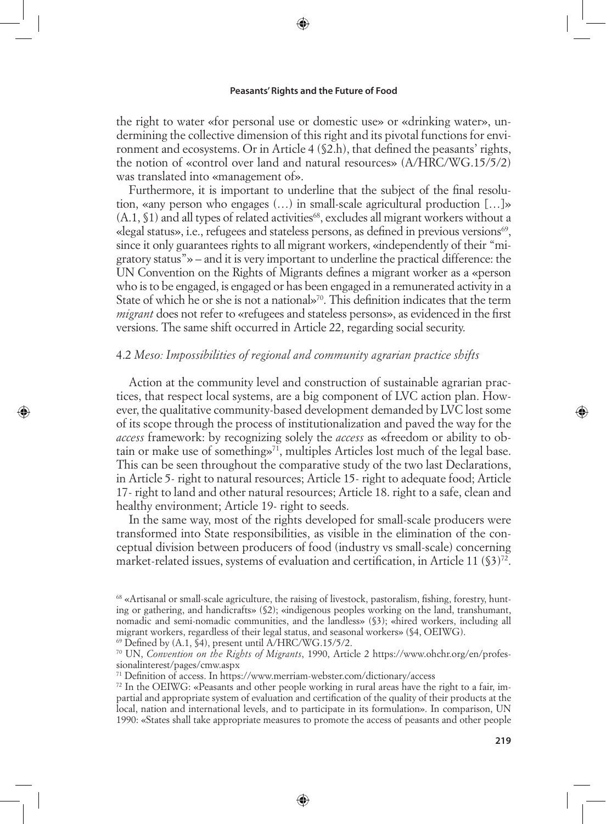⊕

the right to water «for personal use or domestic use» or «drinking water», undermining the collective dimension of this right and its pivotal functions for environment and ecosystems. Or in Article 4 (§2.h), that defined the peasants' rights, the notion of «control over land and natural resources» (A/HRC/WG.15/5/2) was translated into «management of».

Furthermore, it is important to underline that the subject of the final resolution, «any person who engages (…) in small-scale agricultural production […]»  $(A.1, $1)$  and all types of related activities<sup>68</sup>, excludes all migrant workers without a «legal status», i.e., refugees and stateless persons, as defined in previous versions $\mathcal{P}$ , since it only guarantees rights to all migrant workers, «independently of their "migratory status"» – and it is very important to underline the practical difference: the UN Convention on the Rights of Migrants defines a migrant worker as a «person who is to be engaged, is engaged or has been engaged in a remunerated activity in a State of which he or she is not a national»<sup>70</sup>. This definition indicates that the term *migrant* does not refer to «refugees and stateless persons», as evidenced in the first versions. The same shift occurred in Article 22, regarding social security.

### 4.2 *Meso: Impossibilities of regional and community agrarian practice shifts*

↔

Action at the community level and construction of sustainable agrarian practices, that respect local systems, are a big component of LVC action plan. However, the qualitative community-based development demanded by LVC lost some of its scope through the process of institutionalization and paved the way for the *access* framework: by recognizing solely the *access* as «freedom or ability to obtain or make use of something  $\mathcal{P}^{1}$ , multiples Articles lost much of the legal base. This can be seen throughout the comparative study of the two last Declarations, in Article 5- right to natural resources; Article 15- right to adequate food; Article 17- right to land and other natural resources; Article 18. right to a safe, clean and healthy environment; Article 19- right to seeds.

In the same way, most of the rights developed for small-scale producers were transformed into State responsibilities, as visible in the elimination of the conceptual division between producers of food (industry vs small-scale) concerning market-related issues, systems of evaluation and certification, in Article 11 (§3)<sup>72</sup>.

⊕

<sup>68</sup> «Artisanal or small-scale agriculture, the raising of livestock, pastoralism, fishing, forestry, hunting or gathering, and handicrafts» (§2); «indigenous peoples working on the land, transhumant, nomadic and semi-nomadic communities, and the landless» (§3); «hired workers, including all migrant workers, regardless of their legal status, and seasonal workers» (§4, OEIWG).  $^{69}$  Defined by (A.1,  $\tilde{S}4$ ), present until A/HRC/WG.15/5/2.

<sup>70</sup> UN, *Convention on the Rights of Migrants*, 1990, Article 2 https://www.ohchr.org/en/professionalinterest/pages/cmw.aspx

<sup>71</sup> Definition of access. In https://www.merriam-webster.com/dictionary/access

<sup>72</sup> In the OEIWG: «Peasants and other people working in rural areas have the right to a fair, impartial and appropriate system of evaluation and certification of the quality of their products at the local, nation and international levels, and to participate in its formulation». In comparison, UN 1990: «States shall take appropriate measures to promote the access of peasants and other people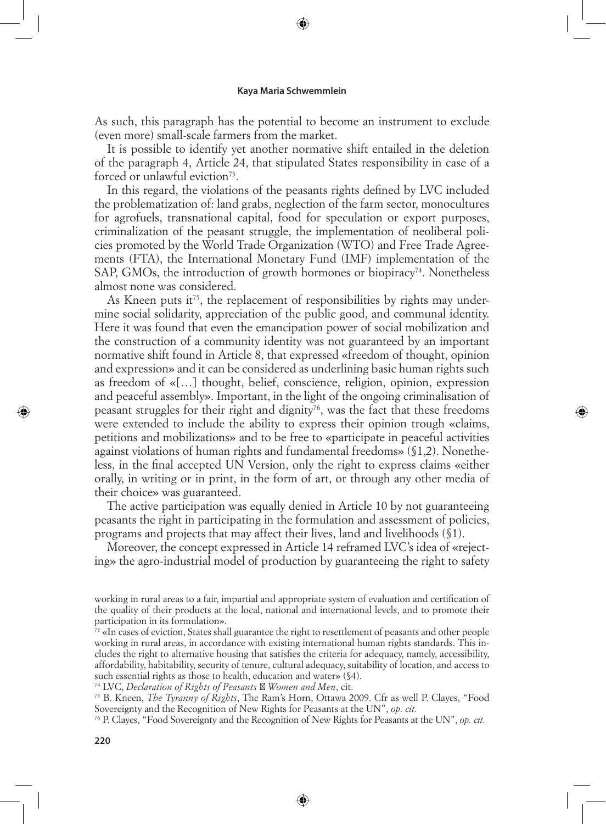⊕

As such, this paragraph has the potential to become an instrument to exclude (even more) small-scale farmers from the market.

It is possible to identify yet another normative shift entailed in the deletion of the paragraph 4, Article 24, that stipulated States responsibility in case of a forced or unlawful eviction<sup>73</sup>.

In this regard, the violations of the peasants rights defined by LVC included the problematization of: land grabs, neglection of the farm sector, monocultures for agrofuels, transnational capital, food for speculation or export purposes, criminalization of the peasant struggle, the implementation of neoliberal policies promoted by the World Trade Organization (WTO) and Free Trade Agreements (FTA), the International Monetary Fund (IMF) implementation of the SAP, GMOs, the introduction of growth hormones or biopiracy<sup>74</sup>. Nonetheless almost none was considered.

As Kneen puts it<sup>75</sup>, the replacement of responsibilities by rights may undermine social solidarity, appreciation of the public good, and communal identity. Here it was found that even the emancipation power of social mobilization and the construction of a community identity was not guaranteed by an important normative shift found in Article 8, that expressed «freedom of thought, opinion and expression» and it can be considered as underlining basic human rights such as freedom of «[…] thought, belief, conscience, religion, opinion, expression and peaceful assembly». Important, in the light of the ongoing criminalisation of peasant struggles for their right and dignity<sup> $76$ </sup>, was the fact that these freedoms were extended to include the ability to express their opinion trough «claims, petitions and mobilizations» and to be free to «participate in peaceful activities against violations of human rights and fundamental freedoms» (§1,2). Nonetheless, in the final accepted UN Version, only the right to express claims «either orally, in writing or in print, in the form of art, or through any other media of their choice» was guaranteed.

The active participation was equally denied in Article 10 by not guaranteeing peasants the right in participating in the formulation and assessment of policies, programs and projects that may affect their lives, land and livelihoods (§1).

Moreover, the concept expressed in Article 14 reframed LVC's idea of «rejecting» the agro-industrial model of production by guaranteeing the right to safety

74 LVC, *Declaration of Rights of Peasants Women and Men*, cit.

75 B. Kneen, *The Tyranny of Rights*, The Ram's Horn, Ottawa 2009. Cfr as well P. Clayes, "Food Sovereignty and the Recognition of New Rights for Peasants at the UN", *op. cit.*

76 P. Clayes, "Food Sovereignty and the Recognition of New Rights for Peasants at the UN", *op. cit.*

⊕

working in rural areas to a fair, impartial and appropriate system of evaluation and certification of the quality of their products at the local, national and international levels, and to promote their participation in its formulation».

 $\frac{7}{2}$  «In cases of eviction, States shall guarantee the right to resettlement of peasants and other people working in rural areas, in accordance with existing international human rights standards. This includes the right to alternative housing that satisfies the criteria for adequacy, namely, accessibility, affordability, habitability, security of tenure, cultural adequacy, suitability of location, and access to such essential rights as those to health, education and water» (§4).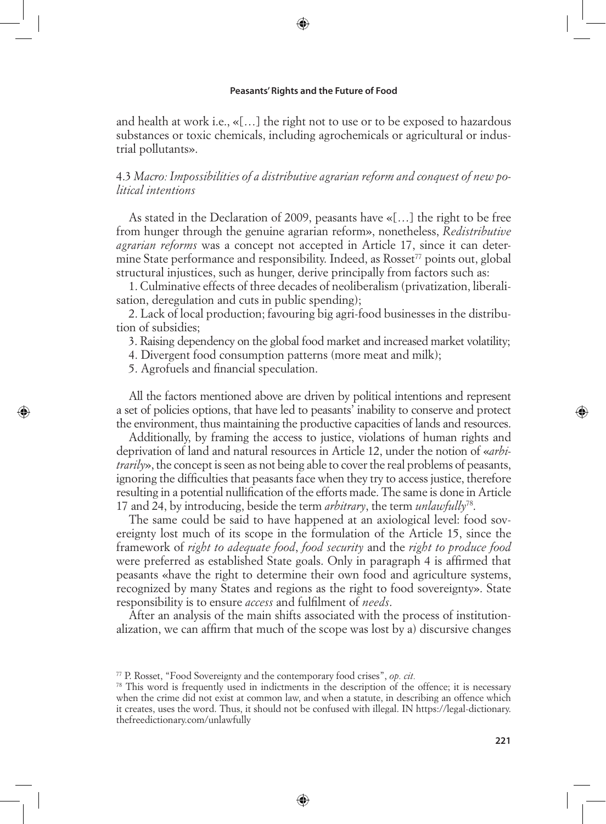⊕

and health at work i.e., «[…] the right not to use or to be exposed to hazardous substances or toxic chemicals, including agrochemicals or agricultural or industrial pollutants».

## 4.3 *Macro: Impossibilities of a distributive agrarian reform and conquest of new political intentions*

As stated in the Declaration of 2009, peasants have «[…] the right to be free from hunger through the genuine agrarian reform», nonetheless, *Redistributive agrarian reforms* was a concept not accepted in Article 17, since it can determine State performance and responsibility. Indeed, as Rosset<sup>77</sup> points out, global structural injustices, such as hunger, derive principally from factors such as:

1. Culminative effects of three decades of neoliberalism (privatization, liberalisation, deregulation and cuts in public spending);

2. Lack of local production; favouring big agri-food businesses in the distribution of subsidies;

3. Raising dependency on the global food market and increased market volatility;

4. Divergent food consumption patterns (more meat and milk);

5. Agrofuels and financial speculation.

↔

All the factors mentioned above are driven by political intentions and represent a set of policies options, that have led to peasants' inability to conserve and protect the environment, thus maintaining the productive capacities of lands and resources.

Additionally, by framing the access to justice, violations of human rights and deprivation of land and natural resources in Article 12, under the notion of «*arbitrarily*», the concept is seen as not being able to cover the real problems of peasants, ignoring the difficulties that peasants face when they try to access justice, therefore resulting in a potential nullification of the efforts made. The same is done in Article 17 and 24, by introducing, beside the term *arbitrary*, the term *unlawfully*78.

The same could be said to have happened at an axiological level: food sovereignty lost much of its scope in the formulation of the Article 15, since the framework of *right to adequate food*, *food security* and the *right to produce food* were preferred as established State goals. Only in paragraph 4 is affirmed that peasants «have the right to determine their own food and agriculture systems, recognized by many States and regions as the right to food sovereignty». State responsibility is to ensure *access* and fulfilment of *needs*.

After an analysis of the main shifts associated with the process of institutionalization, we can affirm that much of the scope was lost by a) discursive changes

<sup>77</sup> P. Rosset, "Food Sovereignty and the contemporary food crises", *op. cit.*

<sup>&</sup>lt;sup>78</sup> This word is frequently used in indictments in the description of the offence; it is necessary when the crime did not exist at common law, and when a statute, in describing an offence which it creates, uses the word. Thus, it should not be confused with illegal. IN https://legal-dictionary. thefreedictionary.com/unlawfully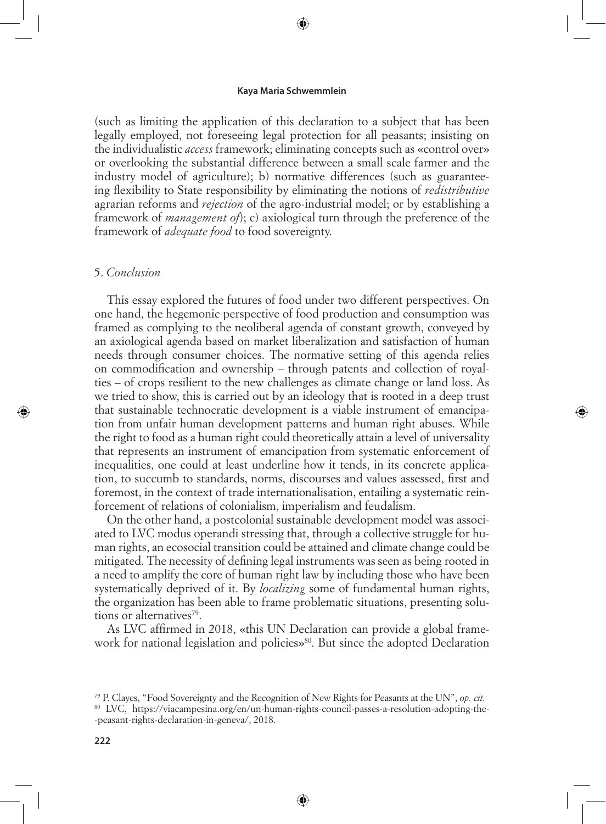⊕

(such as limiting the application of this declaration to a subject that has been legally employed, not foreseeing legal protection for all peasants; insisting on the individualistic *access* framework; eliminating concepts such as «control over» or overlooking the substantial difference between a small scale farmer and the industry model of agriculture); b) normative differences (such as guaranteeing flexibility to State responsibility by eliminating the notions of *redistributive* agrarian reforms and *rejection* of the agro-industrial model; or by establishing a framework of *management of*); c) axiological turn through the preference of the framework of *adequate food* to food sovereignty.

### 5. *Conclusion*

⊕

This essay explored the futures of food under two different perspectives. On one hand, the hegemonic perspective of food production and consumption was framed as complying to the neoliberal agenda of constant growth, conveyed by an axiological agenda based on market liberalization and satisfaction of human needs through consumer choices. The normative setting of this agenda relies on commodification and ownership – through patents and collection of royalties – of crops resilient to the new challenges as climate change or land loss. As we tried to show, this is carried out by an ideology that is rooted in a deep trust that sustainable technocratic development is a viable instrument of emancipation from unfair human development patterns and human right abuses. While the right to food as a human right could theoretically attain a level of universality that represents an instrument of emancipation from systematic enforcement of inequalities, one could at least underline how it tends, in its concrete application, to succumb to standards, norms, discourses and values assessed, first and foremost, in the context of trade internationalisation, entailing a systematic reinforcement of relations of colonialism, imperialism and feudalism.

On the other hand, a postcolonial sustainable development model was associated to LVC modus operandi stressing that, through a collective struggle for human rights, an ecosocial transition could be attained and climate change could be mitigated. The necessity of defining legal instruments was seen as being rooted in a need to amplify the core of human right law by including those who have been systematically deprived of it. By *localizing* some of fundamental human rights, the organization has been able to frame problematic situations, presenting solutions or alternatives<sup>79</sup>.

As LVC affirmed in 2018, «this UN Declaration can provide a global framework for national legislation and policies»<sup>80</sup>. But since the adopted Declaration

<sup>79</sup> P. Clayes, "Food Sovereignty and the Recognition of New Rights for Peasants at the UN", *op. cit.*

<sup>80</sup> LVC, https://viacampesina.org/en/un-human-rights-council-passes-a-resolution-adopting-the- -peasant-rights-declaration-in-geneva/, 2018.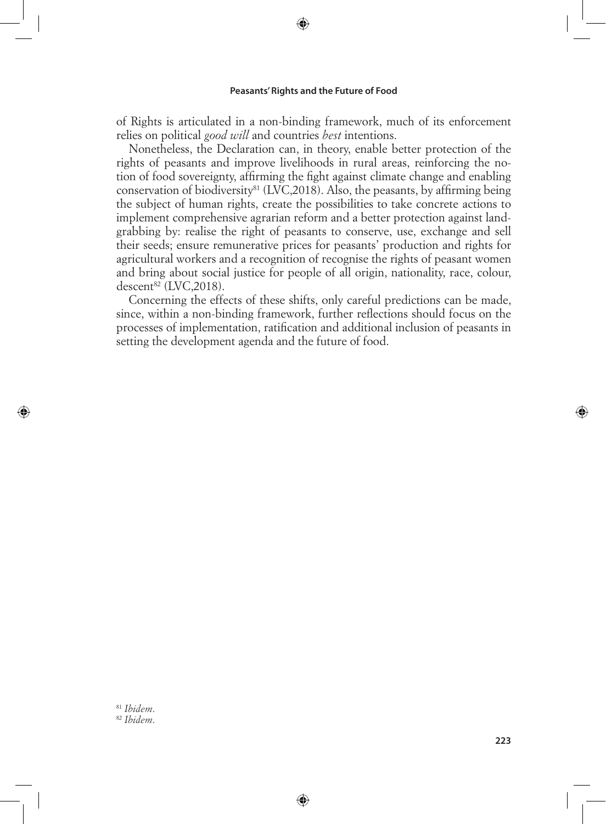⊕

of Rights is articulated in a non-binding framework, much of its enforcement relies on political *good will* and countries *best* intentions.

Nonetheless, the Declaration can, in theory, enable better protection of the rights of peasants and improve livelihoods in rural areas, reinforcing the notion of food sovereignty, affirming the fight against climate change and enabling conservation of biodiversity<sup>81</sup> (LVC,2018). Also, the peasants, by affirming being the subject of human rights, create the possibilities to take concrete actions to implement comprehensive agrarian reform and a better protection against landgrabbing by: realise the right of peasants to conserve, use, exchange and sell their seeds; ensure remunerative prices for peasants' production and rights for agricultural workers and a recognition of recognise the rights of peasant women and bring about social justice for people of all origin, nationality, race, colour, descent $^{82}$  (LVC, 2018).

Concerning the effects of these shifts, only careful predictions can be made, since, within a non-binding framework, further reflections should focus on the processes of implementation, ratification and additional inclusion of peasants in setting the development agenda and the future of food.

⊕

<sup>81</sup> *Ibidem*. <sup>82</sup> *Ibidem*.

⊕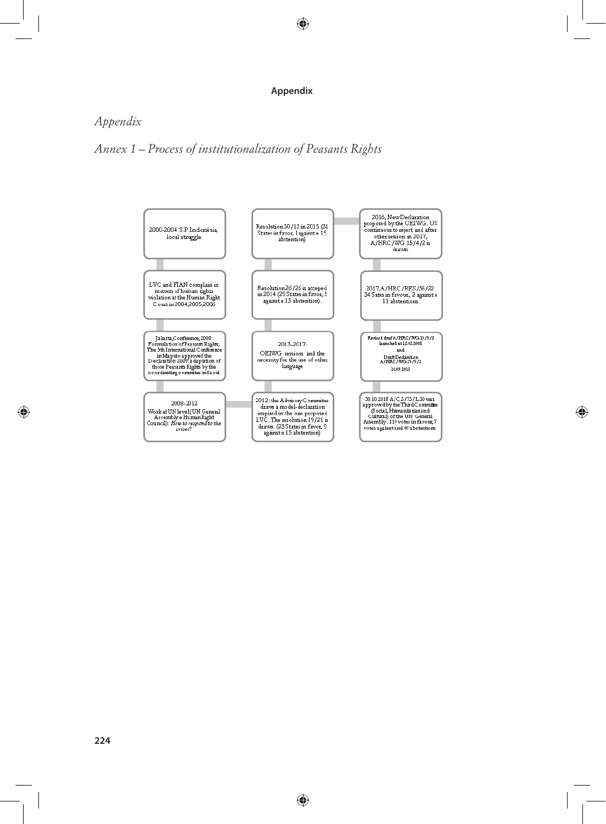#### **Appendix**

 $\bigoplus$ 

# *Appendix*

*Annex 1 – Process of institutionalization of Peasants Rights*



⊕

 $\bigoplus$ 

 $\bigoplus$